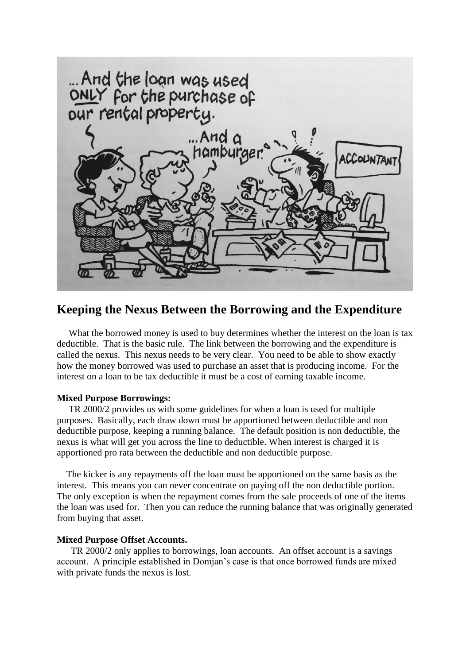

## **Keeping the Nexus Between the Borrowing and the Expenditure**

What the borrowed money is used to buy determines whether the interest on the loan is tax deductible. That is the basic rule. The link between the borrowing and the expenditure is called the nexus. This nexus needs to be very clear. You need to be able to show exactly how the money borrowed was used to purchase an asset that is producing income. For the interest on a loan to be tax deductible it must be a cost of earning taxable income.

## **Mixed Purpose Borrowings:**

 TR 2000/2 provides us with some guidelines for when a loan is used for multiple purposes. Basically, each draw down must be apportioned between deductible and non deductible purpose, keeping a running balance. The default position is non deductible, the nexus is what will get you across the line to deductible. When interest is charged it is apportioned pro rata between the deductible and non deductible purpose.

 The kicker is any repayments off the loan must be apportioned on the same basis as the interest. This means you can never concentrate on paying off the non deductible portion. The only exception is when the repayment comes from the sale proceeds of one of the items the loan was used for. Then you can reduce the running balance that was originally generated from buying that asset.

## **Mixed Purpose Offset Accounts.**

 TR 2000/2 only applies to borrowings, loan accounts. An offset account is a savings account. A principle established in Domjan's case is that once borrowed funds are mixed with private funds the nexus is lost.